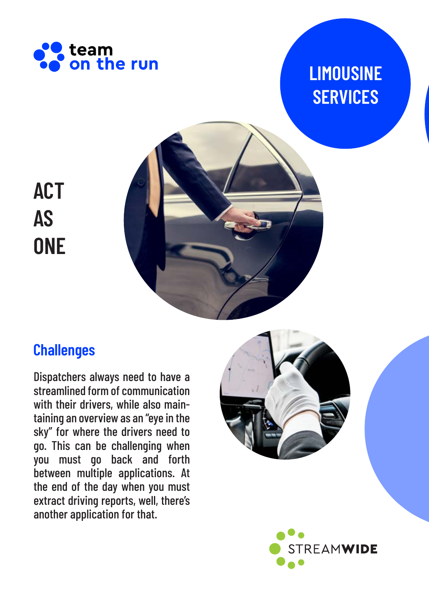

# **LIMOUSINE SERVICES**



# **ACT AS ONE**

## **Challenges**

Dispatchers always need to have a streamlined form of communication with their drivers, while also maintaining an overview as an "eye in the sky" for where the drivers need to go. This can be challenging when you must go back and forth between multiple applications. At the end of the day when you must extract driving reports, well, there's another application for that.